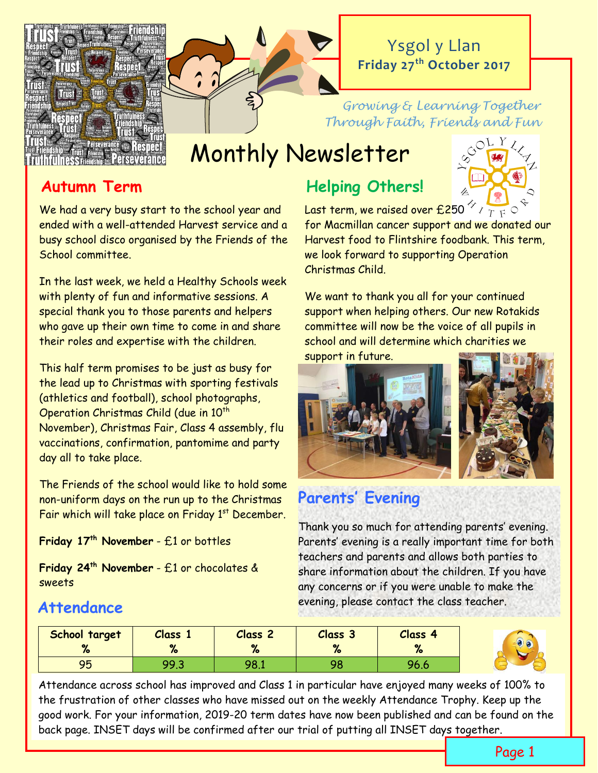

## Ysgol y Llan **Friday 27th October 2017**

#### *Growing & Learning Together Through Faith, Friends and Fun*

# Monthly Newsletter

## **Autumn Term**

We had a very busy start to the school year and ended with a well-attended Harvest service and a busy school disco organised by the Friends of the School committee.

In the last week, we held a Healthy Schools week with plenty of fun and informative sessions. A special thank you to those parents and helpers who gave up their own time to come in and share their roles and expertise with the children.

This half term promises to be just as busy for the lead up to Christmas with sporting festivals (athletics and football), school photographs, Operation Christmas Child (due in 10<sup>th</sup> November), Christmas Fair, Class 4 assembly, flu vaccinations, confirmation, pantomime and party day all to take place.

The Friends of the school would like to hold some non-uniform days on the run up to the Christmas Fair which will take place on Friday  $1<sup>st</sup>$  December.

**Friday 17th November** - £1 or bottles

**Friday 24th November** - £1 or chocolates & sweets

## **Helping Others!**



Last term, we raised over £250  $^{\prime\prime}$  /  $_{T}$   $_{F}$  C

for Macmillan cancer support and we donated our Harvest food to Flintshire foodbank. This term, we look forward to supporting Operation Christmas Child.

We want to thank you all for your continued support when helping others. Our new Rotakids committee will now be the voice of all pupils in school and will determine which charities we support in future.





## **Parents' Evening**

Thank you so much for attending parents' evening. Parents' evening is a really important time for both teachers and parents and allows both parties to share information about the children. If you have any concerns or if you were unable to make the evening, please contact the class teacher.

#### **School target % Class 1 % Class 2 % Class 3 % Class 4 %** 95 | 99.3 | 98.1 | 98 | 96.6

Attendance across school has improved and Class 1 in particular have enjoyed many weeks of 100% to the frustration of other classes who have missed out on the weekly Attendance Trophy. Keep up the good work. For your information, 2019-20 term dates have now been published and can be found on the back page. INSET days will be confirmed after our trial of putting all INSET days together.

## **Attendance**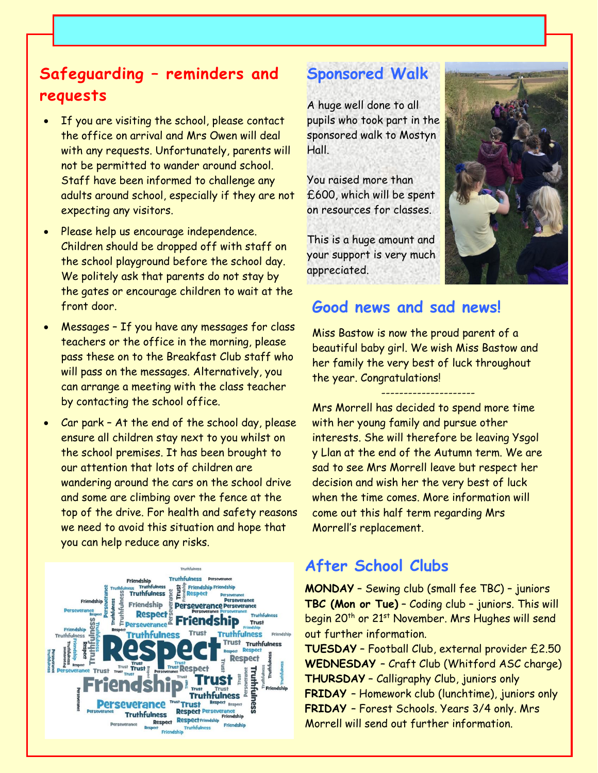## **Safeguarding – reminders and requests**

- If you are visiting the school, please contact the office on arrival and Mrs Owen will deal with any requests. Unfortunately, parents will not be permitted to wander around school. Staff have been informed to challenge any adults around school, especially if they are not expecting any visitors.
- Please help us encourage independence. Children should be dropped off with staff on the school playground before the school day. We politely ask that parents do not stay by the gates or encourage children to wait at the front door.
- Messages If you have any messages for class teachers or the office in the morning, please pass these on to the Breakfast Club staff who will pass on the messages. Alternatively, you can arrange a meeting with the class teacher by contacting the school office.
- Car park At the end of the school day, please ensure all children stay next to you whilst on the school premises. It has been brought to our attention that lots of children are wandering around the cars on the school drive and some are climbing over the fence at the top of the drive. For health and safety reasons we need to avoid this situation and hope that you can help reduce any risks.



## **Sponsored Walk**

A huge well done to all pupils who took part in the sponsored walk to Mostyn Hall.

You raised more than £600, which will be spent on resources for classes.

This is a huge amount and your support is very much appreciated.



## **Good news and sad news!**

Miss Bastow is now the proud parent of a beautiful baby girl. We wish Miss Bastow and her family the very best of luck throughout the year. Congratulations!

--------------------- Mrs Morrell has decided to spend more time with her young family and pursue other interests. She will therefore be leaving Ysgol y Llan at the end of the Autumn term. We are sad to see Mrs Morrell leave but respect her decision and wish her the very best of luck when the time comes. More information will come out this half term regarding Mrs Morrell's replacement.

## **After School Clubs**

**MONDAY** – Sewing club (small fee TBC) – juniors **TBC (Mon or Tue)** – Coding club – juniors. This will begin 20<sup>th</sup> or 21<sup>st</sup> November. Mrs Hughes will send out further information.

**TUESDAY** – Football Club, external provider £2.50 **WEDNESDAY** – Craft Club (Whitford ASC charge) **THURSDAY** – Calligraphy Club, juniors only **FRIDAY** – Homework club (lunchtime), juniors only **FRIDAY** – Forest Schools. Years 3/4 only. Mrs Morrell will send out further information.